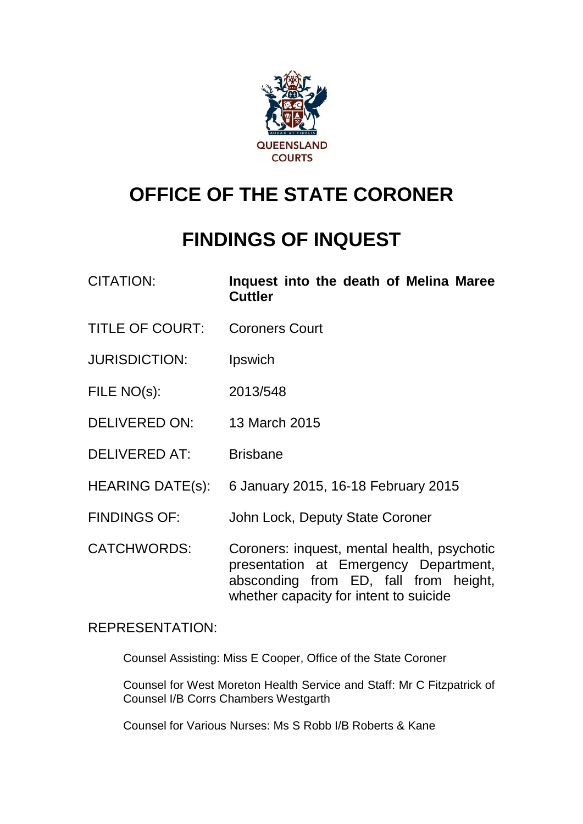

# **OFFICE OF THE STATE CORONER**

# **FINDINGS OF INQUEST**

- CITATION: **Inquest into the death of Melina Maree Cuttler**
- TITLE OF COURT: Coroners Court
- JURISDICTION: Ipswich
- FILE NO(s): 2013/548
- DELIVERED ON: 13 March 2015
- DELIVERED AT: Brisbane
- HEARING DATE(s): 6 January 2015, 16-18 February 2015
- FINDINGS OF: John Lock, Deputy State Coroner
- CATCHWORDS: Coroners: inquest, mental health, psychotic presentation at Emergency Department, absconding from ED, fall from height, whether capacity for intent to suicide

## REPRESENTATION:

Counsel Assisting: Miss E Cooper, Office of the State Coroner

Counsel for West Moreton Health Service and Staff: Mr C Fitzpatrick of Counsel I/B Corrs Chambers Westgarth

Counsel for Various Nurses: Ms S Robb I/B Roberts & Kane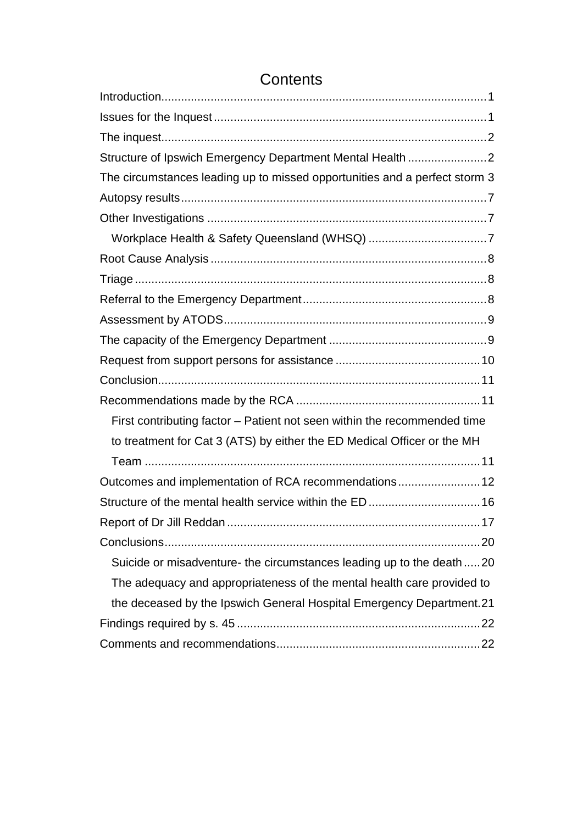## <span id="page-1-0"></span>[Introduction...................................................................................................1](#page-1-0) Issues for the Inquest [...................................................................................1](#page-2-0) [The inquest...................................................................................................2](#page-3-0) [Structure of Ipswich Emergency Department Mental Health](#page-3-1) ........................2 [The circumstances leading up to missed opportunities and a perfect storm](#page-4-0) 3 [Autopsy results.............................................................................................7](#page-8-0) Other Investigations [.....................................................................................7](#page-8-1) [Workplace Health & Safety Queensland \(WHSQ\)](#page-8-2) ....................................7 Root Cause Analysis [....................................................................................8](#page-9-0) Triage [...........................................................................................................8](#page-9-1) [Referral to the Emergency Department........................................................8](#page-9-2) [Assessment by ATODS................................................................................9](#page-10-0) [The capacity of the Emergency Department](#page-10-1) ................................................9 [Request from support persons for assistance](#page-11-0) ............................................10 [Conclusion..................................................................................................11](#page-12-0) Recommendations made by the RCA [........................................................11](#page-12-1) First contributing factor – [Patient not seen within the recommended time](#page-12-2)  [to treatment for Cat 3 \(ATS\) by either the ED Medical Officer or the MH](#page-12-2)  Team [......................................................................................................11](#page-12-2) [Outcomes and implementation of RCA recommendations.........................12](#page-13-0) [Structure of the mental health service within the ED..................................16](#page-17-0) Report of Dr Jill Reddan [.............................................................................17](#page-18-0) [Conclusions................................................................................................20](#page-21-0) Suicide or misadventure- [the circumstances leading up to the death](#page-21-1) .....20 [The adequacy and appropriateness of the mental health care provided to](#page-22-0)  [the deceased by the Ipswich General Hospital Emergency Department.21](#page-22-0) Findings required by s. 45 [..........................................................................22](#page-23-0) [Comments and recommendations..............................................................22](#page-23-1)

## **Contents**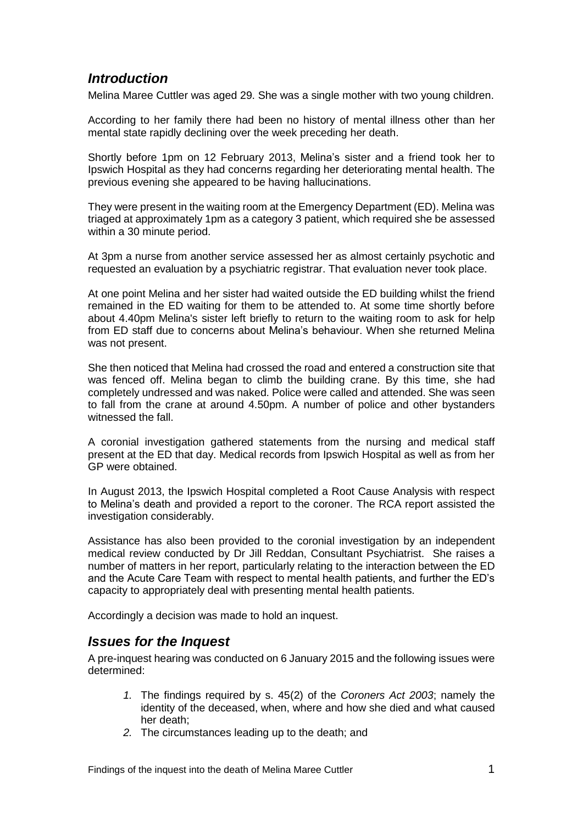## *Introduction*

Melina Maree Cuttler was aged 29. She was a single mother with two young children.

According to her family there had been no history of mental illness other than her mental state rapidly declining over the week preceding her death.

Shortly before 1pm on 12 February 2013, Melina's sister and a friend took her to Ipswich Hospital as they had concerns regarding her deteriorating mental health. The previous evening she appeared to be having hallucinations.

They were present in the waiting room at the Emergency Department (ED). Melina was triaged at approximately 1pm as a category 3 patient, which required she be assessed within a 30 minute period.

At 3pm a nurse from another service assessed her as almost certainly psychotic and requested an evaluation by a psychiatric registrar. That evaluation never took place.

At one point Melina and her sister had waited outside the ED building whilst the friend remained in the ED waiting for them to be attended to. At some time shortly before about 4.40pm Melina's sister left briefly to return to the waiting room to ask for help from ED staff due to concerns about Melina's behaviour. When she returned Melina was not present.

She then noticed that Melina had crossed the road and entered a construction site that was fenced off. Melina began to climb the building crane. By this time, she had completely undressed and was naked. Police were called and attended. She was seen to fall from the crane at around 4.50pm. A number of police and other bystanders witnessed the fall.

A coronial investigation gathered statements from the nursing and medical staff present at the ED that day. Medical records from Ipswich Hospital as well as from her GP were obtained.

In August 2013, the Ipswich Hospital completed a Root Cause Analysis with respect to Melina's death and provided a report to the coroner. The RCA report assisted the investigation considerably.

Assistance has also been provided to the coronial investigation by an independent medical review conducted by Dr Jill Reddan, Consultant Psychiatrist. She raises a number of matters in her report, particularly relating to the interaction between the ED and the Acute Care Team with respect to mental health patients, and further the ED's capacity to appropriately deal with presenting mental health patients.

<span id="page-2-0"></span>Accordingly a decision was made to hold an inquest.

## *Issues for the Inquest*

A pre-inquest hearing was conducted on 6 January 2015 and the following issues were determined:

- *1.* The findings required by s. 45(2) of the *Coroners Act 2003*; namely the identity of the deceased, when, where and how she died and what caused her death;
- *2.* The circumstances leading up to the death; and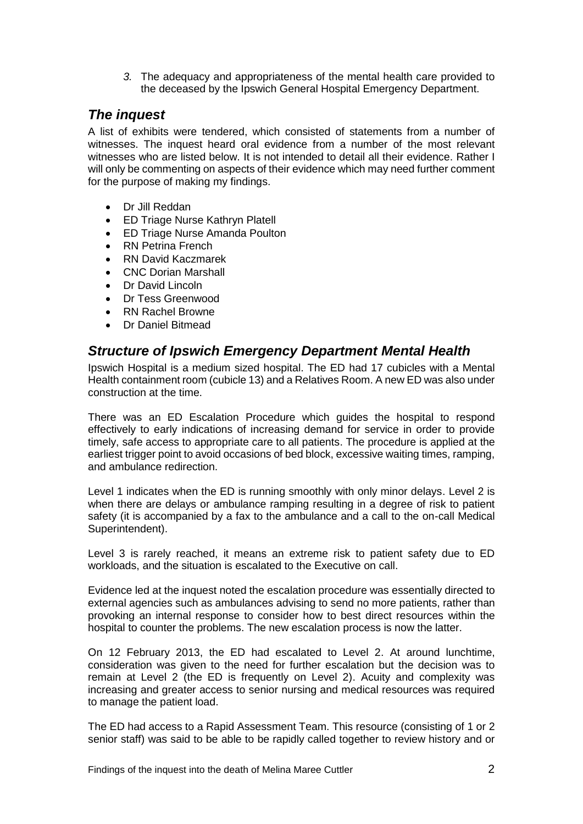*3.* The adequacy and appropriateness of the mental health care provided to the deceased by the Ipswich General Hospital Emergency Department.

## <span id="page-3-0"></span>*The inquest*

A list of exhibits were tendered, which consisted of statements from a number of witnesses. The inquest heard oral evidence from a number of the most relevant witnesses who are listed below. It is not intended to detail all their evidence. Rather I will only be commenting on aspects of their evidence which may need further comment for the purpose of making my findings.

- Dr Jill Reddan
- ED Triage Nurse Kathryn Platell
- ED Triage Nurse Amanda Poulton
- RN Petrina French
- RN David Kaczmarek
- CNC Dorian Marshall
- Dr David Lincoln
- Dr Tess Greenwood
- RN Rachel Browne
- Dr Daniel Bitmead

## <span id="page-3-1"></span>*Structure of Ipswich Emergency Department Mental Health*

Ipswich Hospital is a medium sized hospital. The ED had 17 cubicles with a Mental Health containment room (cubicle 13) and a Relatives Room. A new ED was also under construction at the time.

There was an ED Escalation Procedure which guides the hospital to respond effectively to early indications of increasing demand for service in order to provide timely, safe access to appropriate care to all patients. The procedure is applied at the earliest trigger point to avoid occasions of bed block, excessive waiting times, ramping, and ambulance redirection.

Level 1 indicates when the ED is running smoothly with only minor delays. Level 2 is when there are delays or ambulance ramping resulting in a degree of risk to patient safety (it is accompanied by a fax to the ambulance and a call to the on-call Medical Superintendent).

Level 3 is rarely reached, it means an extreme risk to patient safety due to ED workloads, and the situation is escalated to the Executive on call.

Evidence led at the inquest noted the escalation procedure was essentially directed to external agencies such as ambulances advising to send no more patients, rather than provoking an internal response to consider how to best direct resources within the hospital to counter the problems. The new escalation process is now the latter.

On 12 February 2013, the ED had escalated to Level 2. At around lunchtime, consideration was given to the need for further escalation but the decision was to remain at Level 2 (the ED is frequently on Level 2). Acuity and complexity was increasing and greater access to senior nursing and medical resources was required to manage the patient load.

The ED had access to a Rapid Assessment Team. This resource (consisting of 1 or 2 senior staff) was said to be able to be rapidly called together to review history and or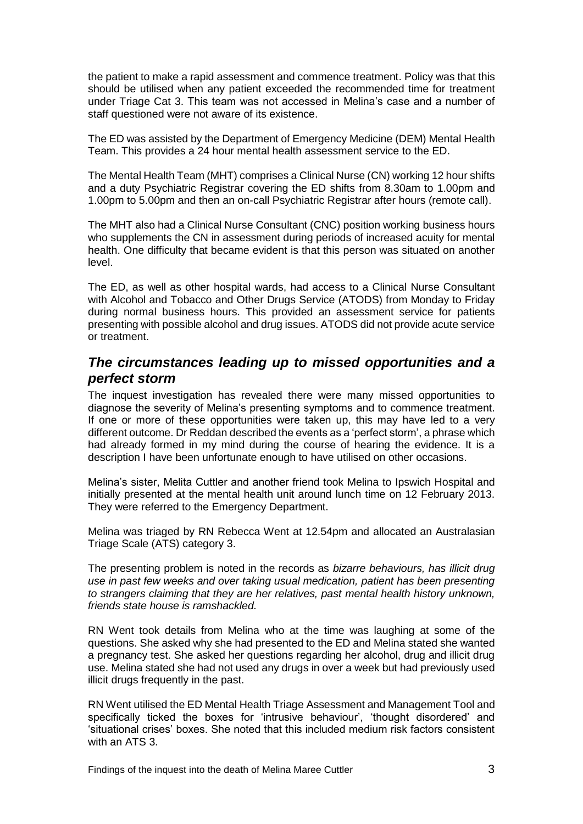the patient to make a rapid assessment and commence treatment. Policy was that this should be utilised when any patient exceeded the recommended time for treatment under Triage Cat 3. This team was not accessed in Melina's case and a number of staff questioned were not aware of its existence.

The ED was assisted by the Department of Emergency Medicine (DEM) Mental Health Team. This provides a 24 hour mental health assessment service to the ED.

The Mental Health Team (MHT) comprises a Clinical Nurse (CN) working 12 hour shifts and a duty Psychiatric Registrar covering the ED shifts from 8.30am to 1.00pm and 1.00pm to 5.00pm and then an on-call Psychiatric Registrar after hours (remote call).

The MHT also had a Clinical Nurse Consultant (CNC) position working business hours who supplements the CN in assessment during periods of increased acuity for mental health. One difficulty that became evident is that this person was situated on another level.

The ED, as well as other hospital wards, had access to a Clinical Nurse Consultant with Alcohol and Tobacco and Other Drugs Service (ATODS) from Monday to Friday during normal business hours. This provided an assessment service for patients presenting with possible alcohol and drug issues. ATODS did not provide acute service or treatment.

## <span id="page-4-0"></span>*The circumstances leading up to missed opportunities and a perfect storm*

The inquest investigation has revealed there were many missed opportunities to diagnose the severity of Melina's presenting symptoms and to commence treatment. If one or more of these opportunities were taken up, this may have led to a very different outcome. Dr Reddan described the events as a 'perfect storm', a phrase which had already formed in my mind during the course of hearing the evidence. It is a description I have been unfortunate enough to have utilised on other occasions.

Melina's sister, Melita Cuttler and another friend took Melina to Ipswich Hospital and initially presented at the mental health unit around lunch time on 12 February 2013. They were referred to the Emergency Department.

Melina was triaged by RN Rebecca Went at 12.54pm and allocated an Australasian Triage Scale (ATS) category 3.

The presenting problem is noted in the records as *bizarre behaviours, has illicit drug use in past few weeks and over taking usual medication, patient has been presenting to strangers claiming that they are her relatives, past mental health history unknown, friends state house is ramshackled.*

RN Went took details from Melina who at the time was laughing at some of the questions. She asked why she had presented to the ED and Melina stated she wanted a pregnancy test. She asked her questions regarding her alcohol, drug and illicit drug use. Melina stated she had not used any drugs in over a week but had previously used illicit drugs frequently in the past.

RN Went utilised the ED Mental Health Triage Assessment and Management Tool and specifically ticked the boxes for 'intrusive behaviour', 'thought disordered' and 'situational crises' boxes. She noted that this included medium risk factors consistent with an ATS 3.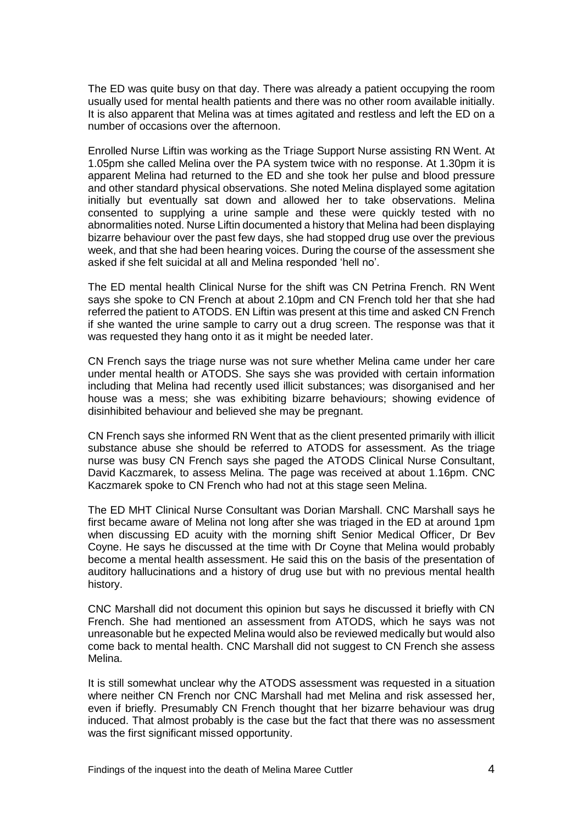The ED was quite busy on that day. There was already a patient occupying the room usually used for mental health patients and there was no other room available initially. It is also apparent that Melina was at times agitated and restless and left the ED on a number of occasions over the afternoon.

Enrolled Nurse Liftin was working as the Triage Support Nurse assisting RN Went. At 1.05pm she called Melina over the PA system twice with no response. At 1.30pm it is apparent Melina had returned to the ED and she took her pulse and blood pressure and other standard physical observations. She noted Melina displayed some agitation initially but eventually sat down and allowed her to take observations. Melina consented to supplying a urine sample and these were quickly tested with no abnormalities noted. Nurse Liftin documented a history that Melina had been displaying bizarre behaviour over the past few days, she had stopped drug use over the previous week, and that she had been hearing voices. During the course of the assessment she asked if she felt suicidal at all and Melina responded 'hell no'.

The ED mental health Clinical Nurse for the shift was CN Petrina French. RN Went says she spoke to CN French at about 2.10pm and CN French told her that she had referred the patient to ATODS. EN Liftin was present at this time and asked CN French if she wanted the urine sample to carry out a drug screen. The response was that it was requested they hang onto it as it might be needed later.

CN French says the triage nurse was not sure whether Melina came under her care under mental health or ATODS. She says she was provided with certain information including that Melina had recently used illicit substances; was disorganised and her house was a mess; she was exhibiting bizarre behaviours; showing evidence of disinhibited behaviour and believed she may be pregnant.

CN French says she informed RN Went that as the client presented primarily with illicit substance abuse she should be referred to ATODS for assessment. As the triage nurse was busy CN French says she paged the ATODS Clinical Nurse Consultant, David Kaczmarek, to assess Melina. The page was received at about 1.16pm. CNC Kaczmarek spoke to CN French who had not at this stage seen Melina.

The ED MHT Clinical Nurse Consultant was Dorian Marshall. CNC Marshall says he first became aware of Melina not long after she was triaged in the ED at around 1pm when discussing ED acuity with the morning shift Senior Medical Officer, Dr Bev Coyne. He says he discussed at the time with Dr Coyne that Melina would probably become a mental health assessment. He said this on the basis of the presentation of auditory hallucinations and a history of drug use but with no previous mental health history.

CNC Marshall did not document this opinion but says he discussed it briefly with CN French. She had mentioned an assessment from ATODS, which he says was not unreasonable but he expected Melina would also be reviewed medically but would also come back to mental health. CNC Marshall did not suggest to CN French she assess Melina.

It is still somewhat unclear why the ATODS assessment was requested in a situation where neither CN French nor CNC Marshall had met Melina and risk assessed her, even if briefly. Presumably CN French thought that her bizarre behaviour was drug induced. That almost probably is the case but the fact that there was no assessment was the first significant missed opportunity.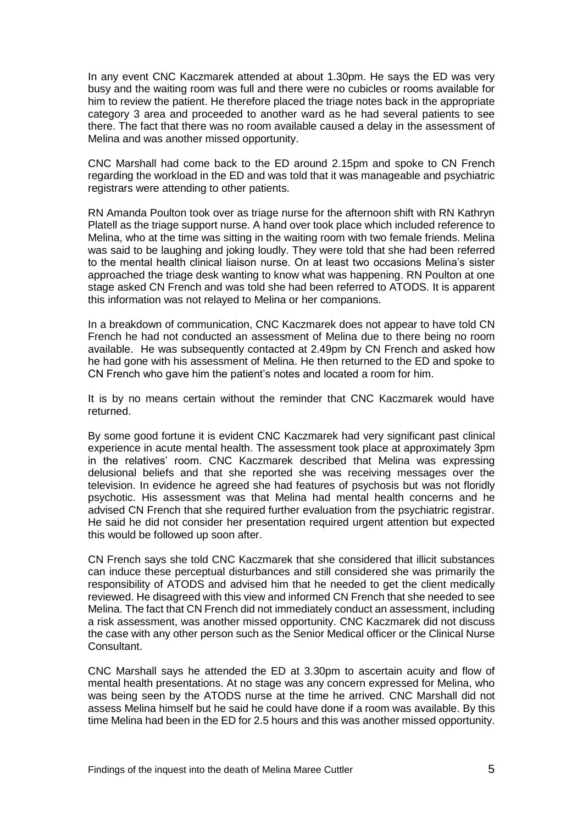In any event CNC Kaczmarek attended at about 1.30pm. He says the ED was very busy and the waiting room was full and there were no cubicles or rooms available for him to review the patient. He therefore placed the triage notes back in the appropriate category 3 area and proceeded to another ward as he had several patients to see there. The fact that there was no room available caused a delay in the assessment of Melina and was another missed opportunity.

CNC Marshall had come back to the ED around 2.15pm and spoke to CN French regarding the workload in the ED and was told that it was manageable and psychiatric registrars were attending to other patients.

RN Amanda Poulton took over as triage nurse for the afternoon shift with RN Kathryn Platell as the triage support nurse. A hand over took place which included reference to Melina, who at the time was sitting in the waiting room with two female friends. Melina was said to be laughing and joking loudly. They were told that she had been referred to the mental health clinical liaison nurse. On at least two occasions Melina's sister approached the triage desk wanting to know what was happening. RN Poulton at one stage asked CN French and was told she had been referred to ATODS. It is apparent this information was not relayed to Melina or her companions.

In a breakdown of communication, CNC Kaczmarek does not appear to have told CN French he had not conducted an assessment of Melina due to there being no room available. He was subsequently contacted at 2.49pm by CN French and asked how he had gone with his assessment of Melina. He then returned to the ED and spoke to CN French who gave him the patient's notes and located a room for him.

It is by no means certain without the reminder that CNC Kaczmarek would have returned.

By some good fortune it is evident CNC Kaczmarek had very significant past clinical experience in acute mental health. The assessment took place at approximately 3pm in the relatives' room. CNC Kaczmarek described that Melina was expressing delusional beliefs and that she reported she was receiving messages over the television. In evidence he agreed she had features of psychosis but was not floridly psychotic. His assessment was that Melina had mental health concerns and he advised CN French that she required further evaluation from the psychiatric registrar. He said he did not consider her presentation required urgent attention but expected this would be followed up soon after.

CN French says she told CNC Kaczmarek that she considered that illicit substances can induce these perceptual disturbances and still considered she was primarily the responsibility of ATODS and advised him that he needed to get the client medically reviewed. He disagreed with this view and informed CN French that she needed to see Melina. The fact that CN French did not immediately conduct an assessment, including a risk assessment, was another missed opportunity. CNC Kaczmarek did not discuss the case with any other person such as the Senior Medical officer or the Clinical Nurse Consultant.

CNC Marshall says he attended the ED at 3.30pm to ascertain acuity and flow of mental health presentations. At no stage was any concern expressed for Melina, who was being seen by the ATODS nurse at the time he arrived. CNC Marshall did not assess Melina himself but he said he could have done if a room was available. By this time Melina had been in the ED for 2.5 hours and this was another missed opportunity.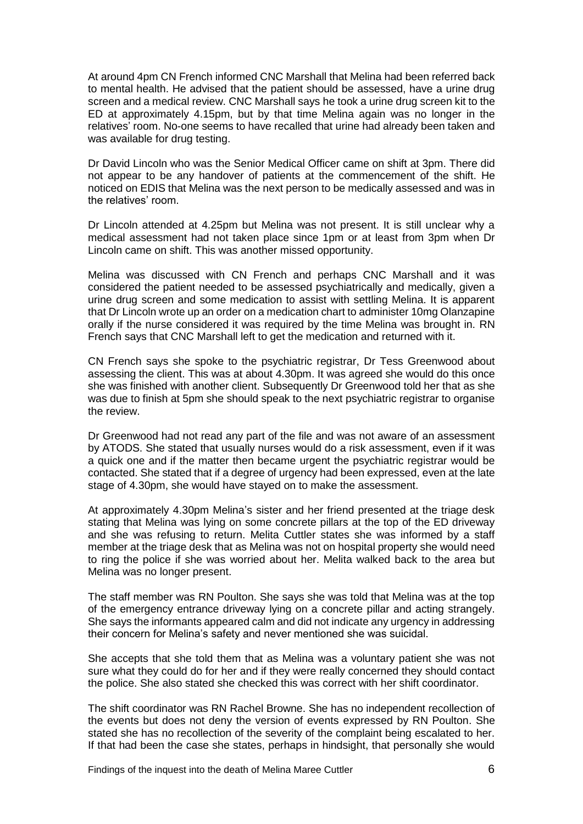At around 4pm CN French informed CNC Marshall that Melina had been referred back to mental health. He advised that the patient should be assessed, have a urine drug screen and a medical review. CNC Marshall says he took a urine drug screen kit to the ED at approximately 4.15pm, but by that time Melina again was no longer in the relatives' room. No-one seems to have recalled that urine had already been taken and was available for drug testing.

Dr David Lincoln who was the Senior Medical Officer came on shift at 3pm. There did not appear to be any handover of patients at the commencement of the shift. He noticed on EDIS that Melina was the next person to be medically assessed and was in the relatives' room.

Dr Lincoln attended at 4.25pm but Melina was not present. It is still unclear why a medical assessment had not taken place since 1pm or at least from 3pm when Dr Lincoln came on shift. This was another missed opportunity.

Melina was discussed with CN French and perhaps CNC Marshall and it was considered the patient needed to be assessed psychiatrically and medically, given a urine drug screen and some medication to assist with settling Melina. It is apparent that Dr Lincoln wrote up an order on a medication chart to administer 10mg Olanzapine orally if the nurse considered it was required by the time Melina was brought in. RN French says that CNC Marshall left to get the medication and returned with it.

CN French says she spoke to the psychiatric registrar, Dr Tess Greenwood about assessing the client. This was at about 4.30pm. It was agreed she would do this once she was finished with another client. Subsequently Dr Greenwood told her that as she was due to finish at 5pm she should speak to the next psychiatric registrar to organise the review.

Dr Greenwood had not read any part of the file and was not aware of an assessment by ATODS. She stated that usually nurses would do a risk assessment, even if it was a quick one and if the matter then became urgent the psychiatric registrar would be contacted. She stated that if a degree of urgency had been expressed, even at the late stage of 4.30pm, she would have stayed on to make the assessment.

At approximately 4.30pm Melina's sister and her friend presented at the triage desk stating that Melina was lying on some concrete pillars at the top of the ED driveway and she was refusing to return. Melita Cuttler states she was informed by a staff member at the triage desk that as Melina was not on hospital property she would need to ring the police if she was worried about her. Melita walked back to the area but Melina was no longer present.

The staff member was RN Poulton. She says she was told that Melina was at the top of the emergency entrance driveway lying on a concrete pillar and acting strangely. She says the informants appeared calm and did not indicate any urgency in addressing their concern for Melina's safety and never mentioned she was suicidal.

She accepts that she told them that as Melina was a voluntary patient she was not sure what they could do for her and if they were really concerned they should contact the police. She also stated she checked this was correct with her shift coordinator.

The shift coordinator was RN Rachel Browne. She has no independent recollection of the events but does not deny the version of events expressed by RN Poulton. She stated she has no recollection of the severity of the complaint being escalated to her. If that had been the case she states, perhaps in hindsight, that personally she would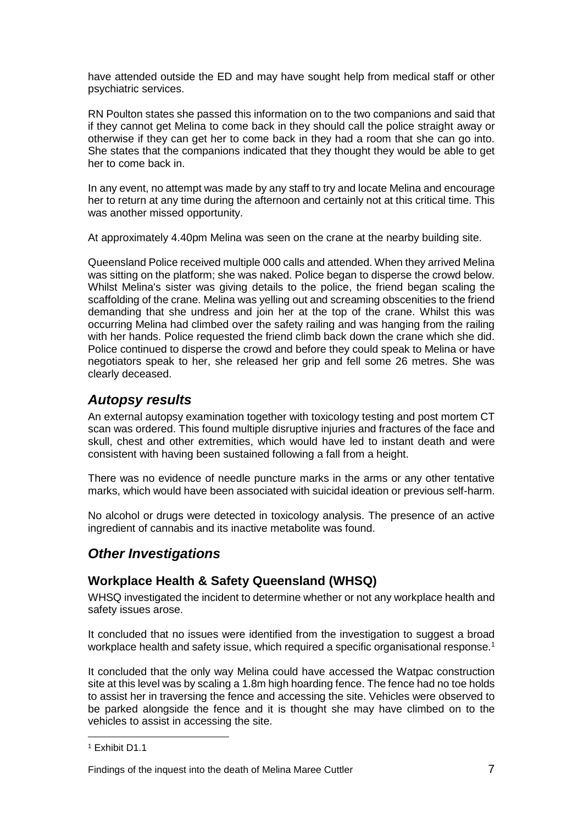have attended outside the ED and may have sought help from medical staff or other psychiatric services.

RN Poulton states she passed this information on to the two companions and said that if they cannot get Melina to come back in they should call the police straight away or otherwise if they can get her to come back in they had a room that she can go into. She states that the companions indicated that they thought they would be able to get her to come back in.

In any event, no attempt was made by any staff to try and locate Melina and encourage her to return at any time during the afternoon and certainly not at this critical time. This was another missed opportunity.

At approximately 4.40pm Melina was seen on the crane at the nearby building site.

Queensland Police received multiple 000 calls and attended. When they arrived Melina was sitting on the platform; she was naked. Police began to disperse the crowd below. Whilst Melina's sister was giving details to the police, the friend began scaling the scaffolding of the crane. Melina was yelling out and screaming obscenities to the friend demanding that she undress and join her at the top of the crane. Whilst this was occurring Melina had climbed over the safety railing and was hanging from the railing with her hands. Police requested the friend climb back down the crane which she did. Police continued to disperse the crowd and before they could speak to Melina or have negotiators speak to her, she released her grip and fell some 26 metres. She was clearly deceased.

## <span id="page-8-0"></span>*Autopsy results*

An external autopsy examination together with toxicology testing and post mortem CT scan was ordered. This found multiple disruptive injuries and fractures of the face and skull, chest and other extremities, which would have led to instant death and were consistent with having been sustained following a fall from a height.

There was no evidence of needle puncture marks in the arms or any other tentative marks, which would have been associated with suicidal ideation or previous self-harm.

No alcohol or drugs were detected in toxicology analysis. The presence of an active ingredient of cannabis and its inactive metabolite was found.

## <span id="page-8-1"></span>*Other Investigations*

### <span id="page-8-2"></span>**Workplace Health & Safety Queensland (WHSQ)**

WHSQ investigated the incident to determine whether or not any workplace health and safety issues arose.

It concluded that no issues were identified from the investigation to suggest a broad workplace health and safety issue, which required a specific organisational response.<sup>1</sup>

It concluded that the only way Melina could have accessed the Watpac construction site at this level was by scaling a 1.8m high hoarding fence. The fence had no toe holds to assist her in traversing the fence and accessing the site. Vehicles were observed to be parked alongside the fence and it is thought she may have climbed on to the vehicles to assist in accessing the site.

l

<sup>1</sup> Exhibit D1.1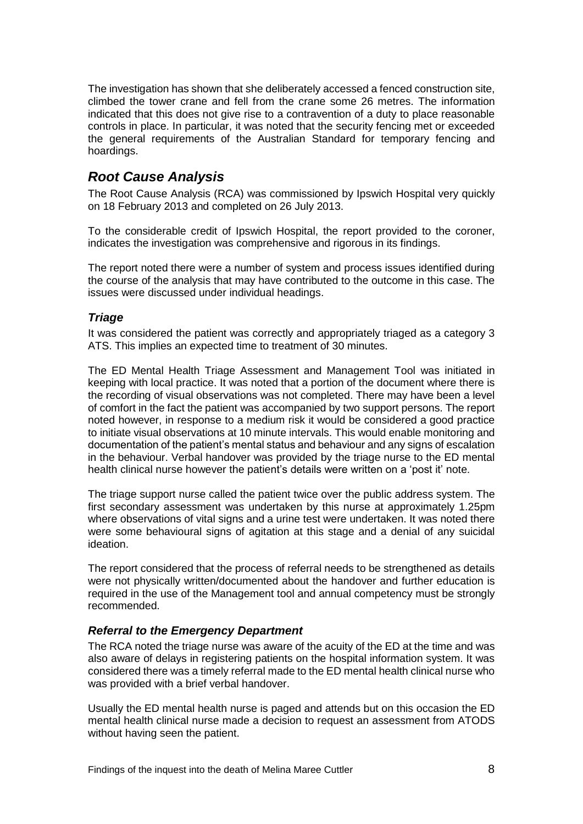The investigation has shown that she deliberately accessed a fenced construction site, climbed the tower crane and fell from the crane some 26 metres. The information indicated that this does not give rise to a contravention of a duty to place reasonable controls in place. In particular, it was noted that the security fencing met or exceeded the general requirements of the Australian Standard for temporary fencing and hoardings.

## <span id="page-9-0"></span>*Root Cause Analysis*

The Root Cause Analysis (RCA) was commissioned by Ipswich Hospital very quickly on 18 February 2013 and completed on 26 July 2013.

To the considerable credit of Ipswich Hospital, the report provided to the coroner, indicates the investigation was comprehensive and rigorous in its findings.

The report noted there were a number of system and process issues identified during the course of the analysis that may have contributed to the outcome in this case. The issues were discussed under individual headings.

#### <span id="page-9-1"></span>*Triage*

It was considered the patient was correctly and appropriately triaged as a category 3 ATS. This implies an expected time to treatment of 30 minutes.

The ED Mental Health Triage Assessment and Management Tool was initiated in keeping with local practice. It was noted that a portion of the document where there is the recording of visual observations was not completed. There may have been a level of comfort in the fact the patient was accompanied by two support persons. The report noted however, in response to a medium risk it would be considered a good practice to initiate visual observations at 10 minute intervals. This would enable monitoring and documentation of the patient's mental status and behaviour and any signs of escalation in the behaviour. Verbal handover was provided by the triage nurse to the ED mental health clinical nurse however the patient's details were written on a 'post it' note.

The triage support nurse called the patient twice over the public address system. The first secondary assessment was undertaken by this nurse at approximately 1.25pm where observations of vital signs and a urine test were undertaken. It was noted there were some behavioural signs of agitation at this stage and a denial of any suicidal ideation.

The report considered that the process of referral needs to be strengthened as details were not physically written/documented about the handover and further education is required in the use of the Management tool and annual competency must be strongly recommended.

#### <span id="page-9-2"></span>*Referral to the Emergency Department*

The RCA noted the triage nurse was aware of the acuity of the ED at the time and was also aware of delays in registering patients on the hospital information system. It was considered there was a timely referral made to the ED mental health clinical nurse who was provided with a brief verbal handover.

Usually the ED mental health nurse is paged and attends but on this occasion the ED mental health clinical nurse made a decision to request an assessment from ATODS without having seen the patient.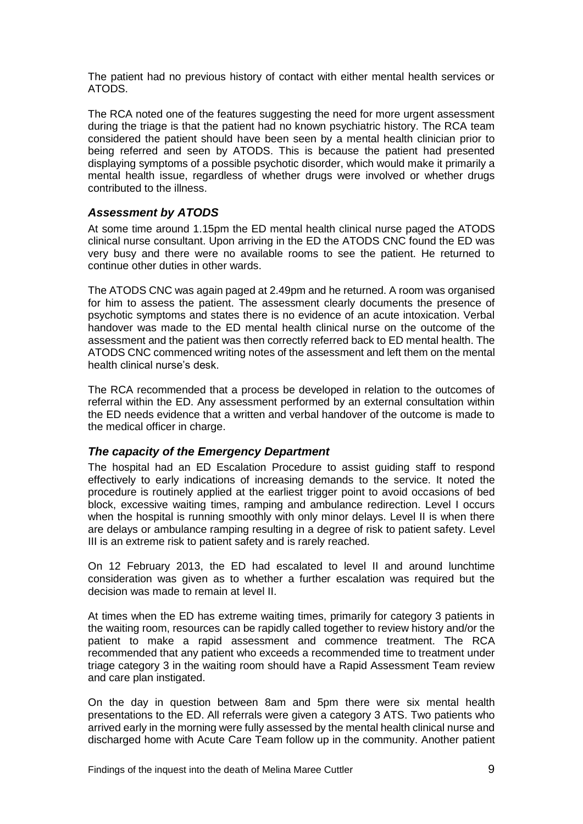The patient had no previous history of contact with either mental health services or ATODS.

The RCA noted one of the features suggesting the need for more urgent assessment during the triage is that the patient had no known psychiatric history. The RCA team considered the patient should have been seen by a mental health clinician prior to being referred and seen by ATODS. This is because the patient had presented displaying symptoms of a possible psychotic disorder, which would make it primarily a mental health issue, regardless of whether drugs were involved or whether drugs contributed to the illness.

#### <span id="page-10-0"></span>*Assessment by ATODS*

At some time around 1.15pm the ED mental health clinical nurse paged the ATODS clinical nurse consultant. Upon arriving in the ED the ATODS CNC found the ED was very busy and there were no available rooms to see the patient. He returned to continue other duties in other wards.

The ATODS CNC was again paged at 2.49pm and he returned. A room was organised for him to assess the patient. The assessment clearly documents the presence of psychotic symptoms and states there is no evidence of an acute intoxication. Verbal handover was made to the ED mental health clinical nurse on the outcome of the assessment and the patient was then correctly referred back to ED mental health. The ATODS CNC commenced writing notes of the assessment and left them on the mental health clinical nurse's desk.

The RCA recommended that a process be developed in relation to the outcomes of referral within the ED. Any assessment performed by an external consultation within the ED needs evidence that a written and verbal handover of the outcome is made to the medical officer in charge.

#### <span id="page-10-1"></span>*The capacity of the Emergency Department*

The hospital had an ED Escalation Procedure to assist guiding staff to respond effectively to early indications of increasing demands to the service. It noted the procedure is routinely applied at the earliest trigger point to avoid occasions of bed block, excessive waiting times, ramping and ambulance redirection. Level I occurs when the hospital is running smoothly with only minor delays. Level II is when there are delays or ambulance ramping resulting in a degree of risk to patient safety. Level III is an extreme risk to patient safety and is rarely reached.

On 12 February 2013, the ED had escalated to level II and around lunchtime consideration was given as to whether a further escalation was required but the decision was made to remain at level II.

At times when the ED has extreme waiting times, primarily for category 3 patients in the waiting room, resources can be rapidly called together to review history and/or the patient to make a rapid assessment and commence treatment. The RCA recommended that any patient who exceeds a recommended time to treatment under triage category 3 in the waiting room should have a Rapid Assessment Team review and care plan instigated.

On the day in question between 8am and 5pm there were six mental health presentations to the ED. All referrals were given a category 3 ATS. Two patients who arrived early in the morning were fully assessed by the mental health clinical nurse and discharged home with Acute Care Team follow up in the community. Another patient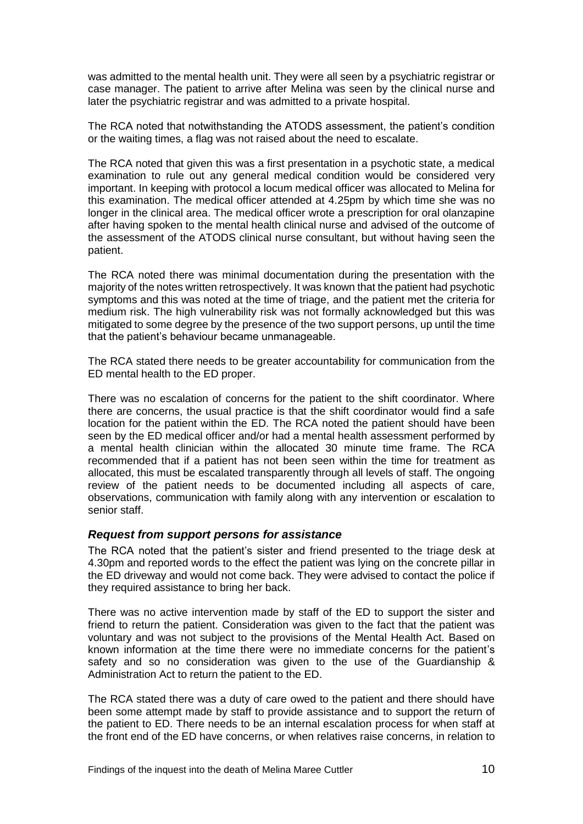was admitted to the mental health unit. They were all seen by a psychiatric registrar or case manager. The patient to arrive after Melina was seen by the clinical nurse and later the psychiatric registrar and was admitted to a private hospital.

The RCA noted that notwithstanding the ATODS assessment, the patient's condition or the waiting times, a flag was not raised about the need to escalate.

The RCA noted that given this was a first presentation in a psychotic state, a medical examination to rule out any general medical condition would be considered very important. In keeping with protocol a locum medical officer was allocated to Melina for this examination. The medical officer attended at 4.25pm by which time she was no longer in the clinical area. The medical officer wrote a prescription for oral olanzapine after having spoken to the mental health clinical nurse and advised of the outcome of the assessment of the ATODS clinical nurse consultant, but without having seen the patient.

The RCA noted there was minimal documentation during the presentation with the majority of the notes written retrospectively. It was known that the patient had psychotic symptoms and this was noted at the time of triage, and the patient met the criteria for medium risk. The high vulnerability risk was not formally acknowledged but this was mitigated to some degree by the presence of the two support persons, up until the time that the patient's behaviour became unmanageable.

The RCA stated there needs to be greater accountability for communication from the ED mental health to the ED proper.

There was no escalation of concerns for the patient to the shift coordinator. Where there are concerns, the usual practice is that the shift coordinator would find a safe location for the patient within the ED. The RCA noted the patient should have been seen by the ED medical officer and/or had a mental health assessment performed by a mental health clinician within the allocated 30 minute time frame. The RCA recommended that if a patient has not been seen within the time for treatment as allocated, this must be escalated transparently through all levels of staff. The ongoing review of the patient needs to be documented including all aspects of care, observations, communication with family along with any intervention or escalation to senior staff.

#### <span id="page-11-0"></span>*Request from support persons for assistance*

The RCA noted that the patient's sister and friend presented to the triage desk at 4.30pm and reported words to the effect the patient was lying on the concrete pillar in the ED driveway and would not come back. They were advised to contact the police if they required assistance to bring her back.

There was no active intervention made by staff of the ED to support the sister and friend to return the patient. Consideration was given to the fact that the patient was voluntary and was not subject to the provisions of the Mental Health Act. Based on known information at the time there were no immediate concerns for the patient's safety and so no consideration was given to the use of the Guardianship & Administration Act to return the patient to the ED.

The RCA stated there was a duty of care owed to the patient and there should have been some attempt made by staff to provide assistance and to support the return of the patient to ED. There needs to be an internal escalation process for when staff at the front end of the ED have concerns, or when relatives raise concerns, in relation to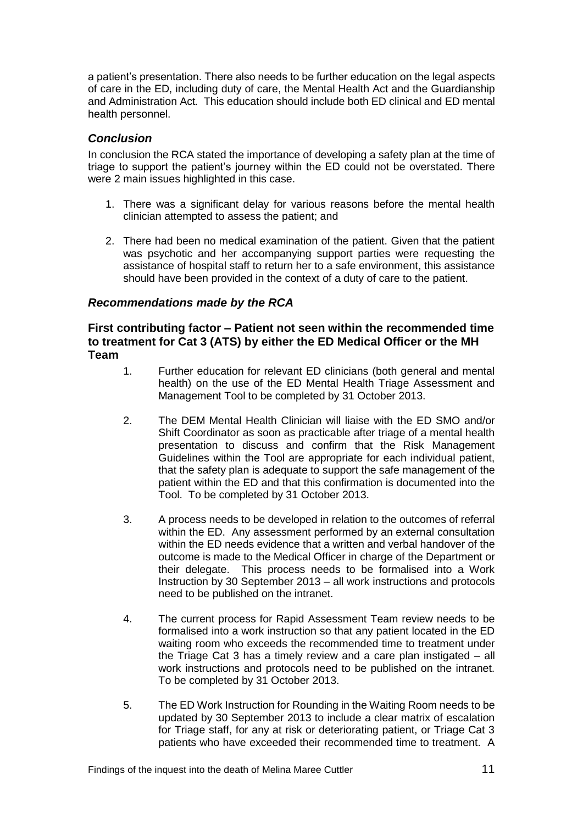a patient's presentation. There also needs to be further education on the legal aspects of care in the ED, including duty of care, the Mental Health Act and the Guardianship and Administration Act*.* This education should include both ED clinical and ED mental health personnel.

#### <span id="page-12-0"></span>*Conclusion*

In conclusion the RCA stated the importance of developing a safety plan at the time of triage to support the patient's journey within the ED could not be overstated. There were 2 main issues highlighted in this case.

- 1. There was a significant delay for various reasons before the mental health clinician attempted to assess the patient; and
- 2. There had been no medical examination of the patient. Given that the patient was psychotic and her accompanying support parties were requesting the assistance of hospital staff to return her to a safe environment, this assistance should have been provided in the context of a duty of care to the patient.

#### <span id="page-12-1"></span>*Recommendations made by the RCA*

#### <span id="page-12-2"></span>**First contributing factor – Patient not seen within the recommended time to treatment for Cat 3 (ATS) by either the ED Medical Officer or the MH Team**

- 1. Further education for relevant ED clinicians (both general and mental health) on the use of the ED Mental Health Triage Assessment and Management Tool to be completed by 31 October 2013.
- 2. The DEM Mental Health Clinician will liaise with the ED SMO and/or Shift Coordinator as soon as practicable after triage of a mental health presentation to discuss and confirm that the Risk Management Guidelines within the Tool are appropriate for each individual patient, that the safety plan is adequate to support the safe management of the patient within the ED and that this confirmation is documented into the Tool. To be completed by 31 October 2013.
- 3. A process needs to be developed in relation to the outcomes of referral within the ED. Any assessment performed by an external consultation within the ED needs evidence that a written and verbal handover of the outcome is made to the Medical Officer in charge of the Department or their delegate. This process needs to be formalised into a Work Instruction by 30 September 2013 – all work instructions and protocols need to be published on the intranet.
- 4. The current process for Rapid Assessment Team review needs to be formalised into a work instruction so that any patient located in the ED waiting room who exceeds the recommended time to treatment under the Triage Cat 3 has a timely review and a care plan instigated – all work instructions and protocols need to be published on the intranet. To be completed by 31 October 2013.
- 5. The ED Work Instruction for Rounding in the Waiting Room needs to be updated by 30 September 2013 to include a clear matrix of escalation for Triage staff, for any at risk or deteriorating patient, or Triage Cat 3 patients who have exceeded their recommended time to treatment. A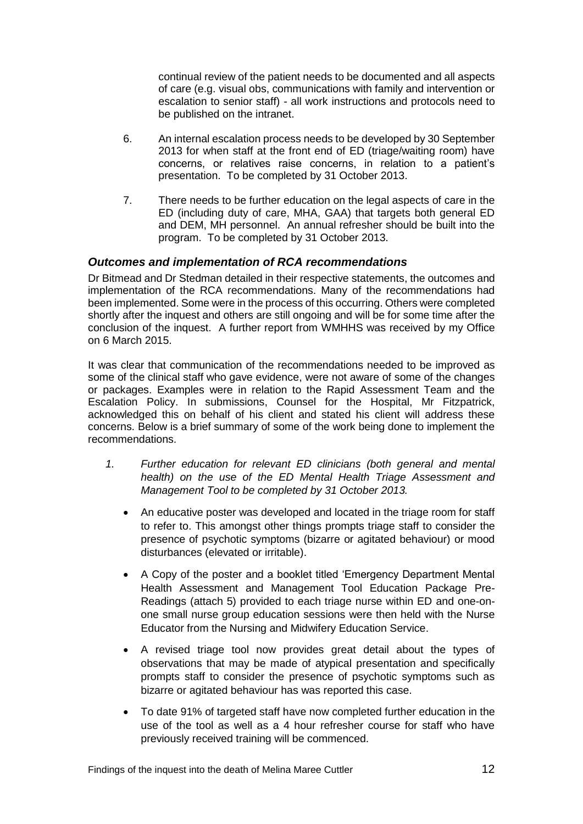continual review of the patient needs to be documented and all aspects of care (e.g. visual obs, communications with family and intervention or escalation to senior staff) - all work instructions and protocols need to be published on the intranet.

- 6. An internal escalation process needs to be developed by 30 September 2013 for when staff at the front end of ED (triage/waiting room) have concerns, or relatives raise concerns, in relation to a patient's presentation. To be completed by 31 October 2013.
- 7. There needs to be further education on the legal aspects of care in the ED (including duty of care, MHA, GAA) that targets both general ED and DEM, MH personnel. An annual refresher should be built into the program. To be completed by 31 October 2013.

#### <span id="page-13-0"></span>*Outcomes and implementation of RCA recommendations*

Dr Bitmead and Dr Stedman detailed in their respective statements, the outcomes and implementation of the RCA recommendations. Many of the recommendations had been implemented. Some were in the process of this occurring. Others were completed shortly after the inquest and others are still ongoing and will be for some time after the conclusion of the inquest. A further report from WMHHS was received by my Office on 6 March 2015.

It was clear that communication of the recommendations needed to be improved as some of the clinical staff who gave evidence, were not aware of some of the changes or packages. Examples were in relation to the Rapid Assessment Team and the Escalation Policy. In submissions, Counsel for the Hospital, Mr Fitzpatrick, acknowledged this on behalf of his client and stated his client will address these concerns. Below is a brief summary of some of the work being done to implement the recommendations.

- *1. Further education for relevant ED clinicians (both general and mental health) on the use of the ED Mental Health Triage Assessment and Management Tool to be completed by 31 October 2013.*
	- An educative poster was developed and located in the triage room for staff to refer to. This amongst other things prompts triage staff to consider the presence of psychotic symptoms (bizarre or agitated behaviour) or mood disturbances (elevated or irritable).
	- A Copy of the poster and a booklet titled 'Emergency Department Mental Health Assessment and Management Tool Education Package Pre-Readings (attach 5) provided to each triage nurse within ED and one-onone small nurse group education sessions were then held with the Nurse Educator from the Nursing and Midwifery Education Service.
	- A revised triage tool now provides great detail about the types of observations that may be made of atypical presentation and specifically prompts staff to consider the presence of psychotic symptoms such as bizarre or agitated behaviour has was reported this case.
	- To date 91% of targeted staff have now completed further education in the use of the tool as well as a 4 hour refresher course for staff who have previously received training will be commenced.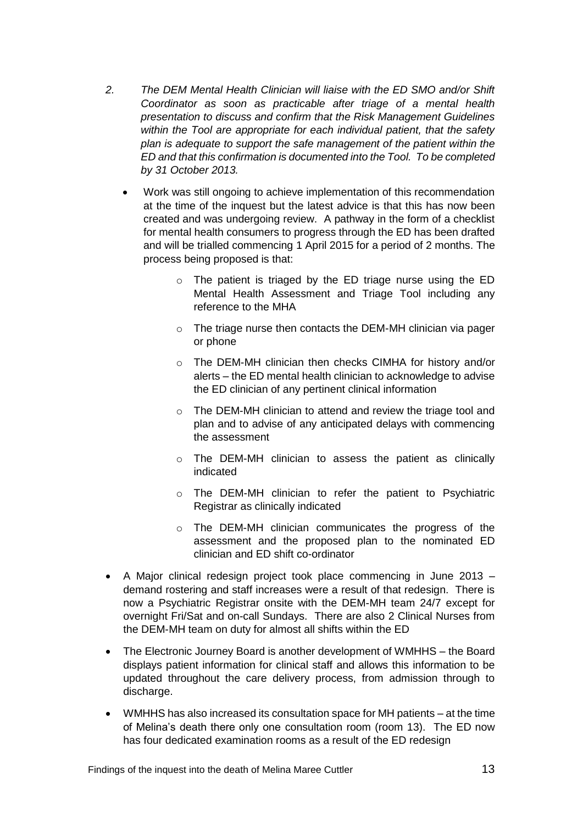- *2. The DEM Mental Health Clinician will liaise with the ED SMO and/or Shift Coordinator as soon as practicable after triage of a mental health presentation to discuss and confirm that the Risk Management Guidelines within the Tool are appropriate for each individual patient, that the safety plan is adequate to support the safe management of the patient within the ED and that this confirmation is documented into the Tool. To be completed by 31 October 2013.*
	- Work was still ongoing to achieve implementation of this recommendation at the time of the inquest but the latest advice is that this has now been created and was undergoing review. A pathway in the form of a checklist for mental health consumers to progress through the ED has been drafted and will be trialled commencing 1 April 2015 for a period of 2 months. The process being proposed is that:
		- o The patient is triaged by the ED triage nurse using the ED Mental Health Assessment and Triage Tool including any reference to the MHA
		- o The triage nurse then contacts the DEM-MH clinician via pager or phone
		- o The DEM-MH clinician then checks CIMHA for history and/or alerts – the ED mental health clinician to acknowledge to advise the ED clinician of any pertinent clinical information
		- o The DEM-MH clinician to attend and review the triage tool and plan and to advise of any anticipated delays with commencing the assessment
		- o The DEM-MH clinician to assess the patient as clinically indicated
		- o The DEM-MH clinician to refer the patient to Psychiatric Registrar as clinically indicated
		- o The DEM-MH clinician communicates the progress of the assessment and the proposed plan to the nominated ED clinician and ED shift co-ordinator
- A Major clinical redesign project took place commencing in June 2013 demand rostering and staff increases were a result of that redesign. There is now a Psychiatric Registrar onsite with the DEM-MH team 24/7 except for overnight Fri/Sat and on-call Sundays. There are also 2 Clinical Nurses from the DEM-MH team on duty for almost all shifts within the ED
- The Electronic Journey Board is another development of WMHHS the Board displays patient information for clinical staff and allows this information to be updated throughout the care delivery process, from admission through to discharge.
- WMHHS has also increased its consultation space for MH patients at the time of Melina's death there only one consultation room (room 13). The ED now has four dedicated examination rooms as a result of the ED redesign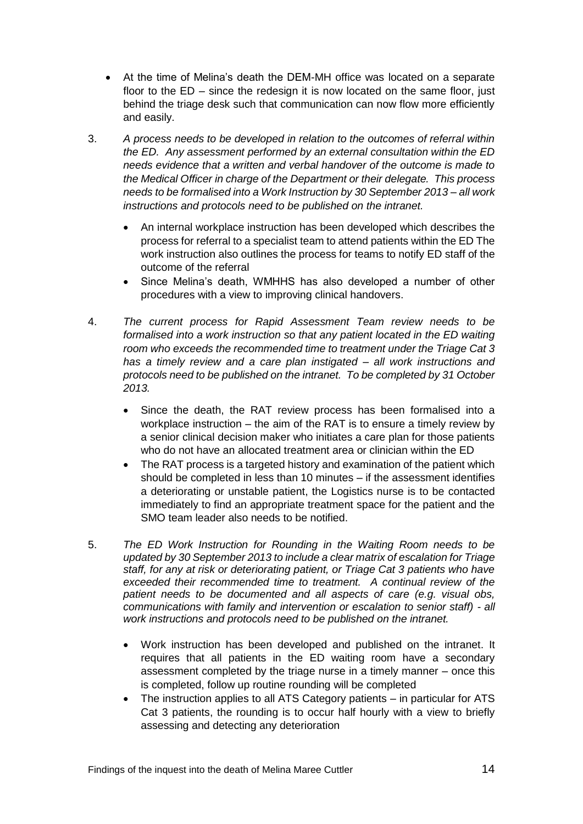- At the time of Melina's death the DEM-MH office was located on a separate floor to the ED – since the redesign it is now located on the same floor, just behind the triage desk such that communication can now flow more efficiently and easily.
- 3. *A process needs to be developed in relation to the outcomes of referral within the ED. Any assessment performed by an external consultation within the ED needs evidence that a written and verbal handover of the outcome is made to the Medical Officer in charge of the Department or their delegate. This process needs to be formalised into a Work Instruction by 30 September 2013 – all work instructions and protocols need to be published on the intranet.*
	- An internal workplace instruction has been developed which describes the process for referral to a specialist team to attend patients within the ED The work instruction also outlines the process for teams to notify ED staff of the outcome of the referral
	- Since Melina's death, WMHHS has also developed a number of other procedures with a view to improving clinical handovers.
- 4. *The current process for Rapid Assessment Team review needs to be formalised into a work instruction so that any patient located in the ED waiting room who exceeds the recommended time to treatment under the Triage Cat 3 has a timely review and a care plan instigated – all work instructions and protocols need to be published on the intranet. To be completed by 31 October 2013.*
	- Since the death, the RAT review process has been formalised into a workplace instruction – the aim of the RAT is to ensure a timely review by a senior clinical decision maker who initiates a care plan for those patients who do not have an allocated treatment area or clinician within the ED
	- The RAT process is a targeted history and examination of the patient which should be completed in less than 10 minutes – if the assessment identifies a deteriorating or unstable patient, the Logistics nurse is to be contacted immediately to find an appropriate treatment space for the patient and the SMO team leader also needs to be notified.
- 5. *The ED Work Instruction for Rounding in the Waiting Room needs to be updated by 30 September 2013 to include a clear matrix of escalation for Triage staff, for any at risk or deteriorating patient, or Triage Cat 3 patients who have exceeded their recommended time to treatment. A continual review of the patient needs to be documented and all aspects of care (e.g. visual obs, communications with family and intervention or escalation to senior staff) - all work instructions and protocols need to be published on the intranet.*
	- Work instruction has been developed and published on the intranet. It requires that all patients in the ED waiting room have a secondary assessment completed by the triage nurse in a timely manner – once this is completed, follow up routine rounding will be completed
	- The instruction applies to all ATS Category patients in particular for ATS Cat 3 patients, the rounding is to occur half hourly with a view to briefly assessing and detecting any deterioration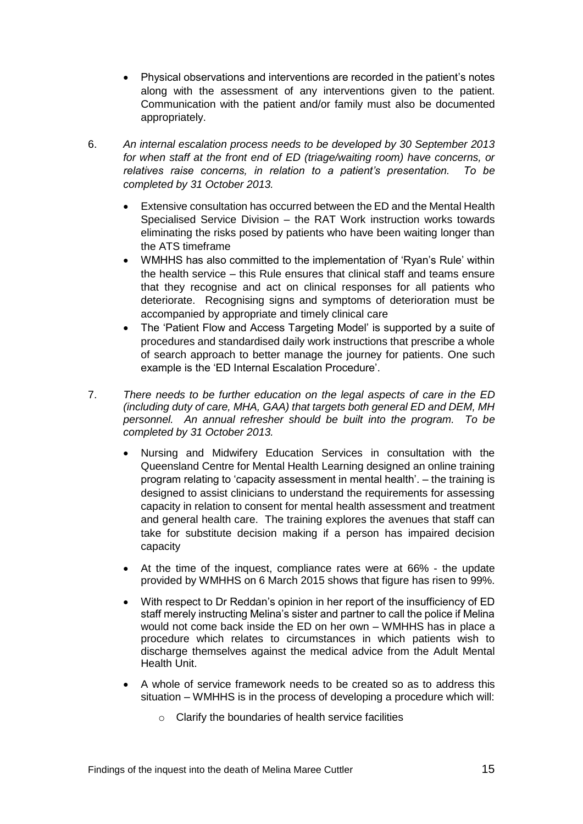- Physical observations and interventions are recorded in the patient's notes along with the assessment of any interventions given to the patient. Communication with the patient and/or family must also be documented appropriately.
- 6. *An internal escalation process needs to be developed by 30 September 2013 for when staff at the front end of ED (triage/waiting room) have concerns, or relatives raise concerns, in relation to a patient's presentation. To be completed by 31 October 2013.*
	- Extensive consultation has occurred between the ED and the Mental Health Specialised Service Division – the RAT Work instruction works towards eliminating the risks posed by patients who have been waiting longer than the ATS timeframe
	- WMHHS has also committed to the implementation of 'Ryan's Rule' within the health service – this Rule ensures that clinical staff and teams ensure that they recognise and act on clinical responses for all patients who deteriorate. Recognising signs and symptoms of deterioration must be accompanied by appropriate and timely clinical care
	- The 'Patient Flow and Access Targeting Model' is supported by a suite of procedures and standardised daily work instructions that prescribe a whole of search approach to better manage the journey for patients. One such example is the 'ED Internal Escalation Procedure'.
- 7. *There needs to be further education on the legal aspects of care in the ED (including duty of care, MHA, GAA) that targets both general ED and DEM, MH personnel. An annual refresher should be built into the program. To be completed by 31 October 2013.*
	- Nursing and Midwifery Education Services in consultation with the Queensland Centre for Mental Health Learning designed an online training program relating to 'capacity assessment in mental health'. – the training is designed to assist clinicians to understand the requirements for assessing capacity in relation to consent for mental health assessment and treatment and general health care. The training explores the avenues that staff can take for substitute decision making if a person has impaired decision capacity
	- At the time of the inquest, compliance rates were at 66% the update provided by WMHHS on 6 March 2015 shows that figure has risen to 99%.
	- With respect to Dr Reddan's opinion in her report of the insufficiency of ED staff merely instructing Melina's sister and partner to call the police if Melina would not come back inside the ED on her own – WMHHS has in place a procedure which relates to circumstances in which patients wish to discharge themselves against the medical advice from the Adult Mental Health Unit.
	- A whole of service framework needs to be created so as to address this situation – WMHHS is in the process of developing a procedure which will:
		- $\circ$  Clarify the boundaries of health service facilities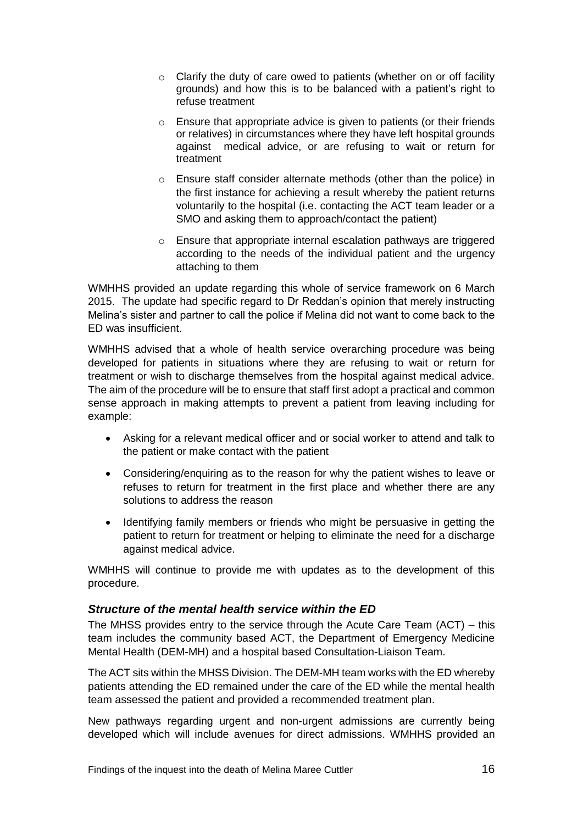- o Clarify the duty of care owed to patients (whether on or off facility grounds) and how this is to be balanced with a patient's right to refuse treatment
- o Ensure that appropriate advice is given to patients (or their friends or relatives) in circumstances where they have left hospital grounds against medical advice, or are refusing to wait or return for treatment
- o Ensure staff consider alternate methods (other than the police) in the first instance for achieving a result whereby the patient returns voluntarily to the hospital (i.e. contacting the ACT team leader or a SMO and asking them to approach/contact the patient)
- o Ensure that appropriate internal escalation pathways are triggered according to the needs of the individual patient and the urgency attaching to them

WMHHS provided an update regarding this whole of service framework on 6 March 2015. The update had specific regard to Dr Reddan's opinion that merely instructing Melina's sister and partner to call the police if Melina did not want to come back to the ED was insufficient.

WMHHS advised that a whole of health service overarching procedure was being developed for patients in situations where they are refusing to wait or return for treatment or wish to discharge themselves from the hospital against medical advice. The aim of the procedure will be to ensure that staff first adopt a practical and common sense approach in making attempts to prevent a patient from leaving including for example:

- Asking for a relevant medical officer and or social worker to attend and talk to the patient or make contact with the patient
- Considering/enquiring as to the reason for why the patient wishes to leave or refuses to return for treatment in the first place and whether there are any solutions to address the reason
- Identifying family members or friends who might be persuasive in getting the patient to return for treatment or helping to eliminate the need for a discharge against medical advice.

WMHHS will continue to provide me with updates as to the development of this procedure.

#### <span id="page-17-0"></span>*Structure of the mental health service within the ED*

The MHSS provides entry to the service through the Acute Care Team (ACT) – this team includes the community based ACT, the Department of Emergency Medicine Mental Health (DEM-MH) and a hospital based Consultation-Liaison Team.

The ACT sits within the MHSS Division. The DEM-MH team works with the ED whereby patients attending the ED remained under the care of the ED while the mental health team assessed the patient and provided a recommended treatment plan.

New pathways regarding urgent and non-urgent admissions are currently being developed which will include avenues for direct admissions. WMHHS provided an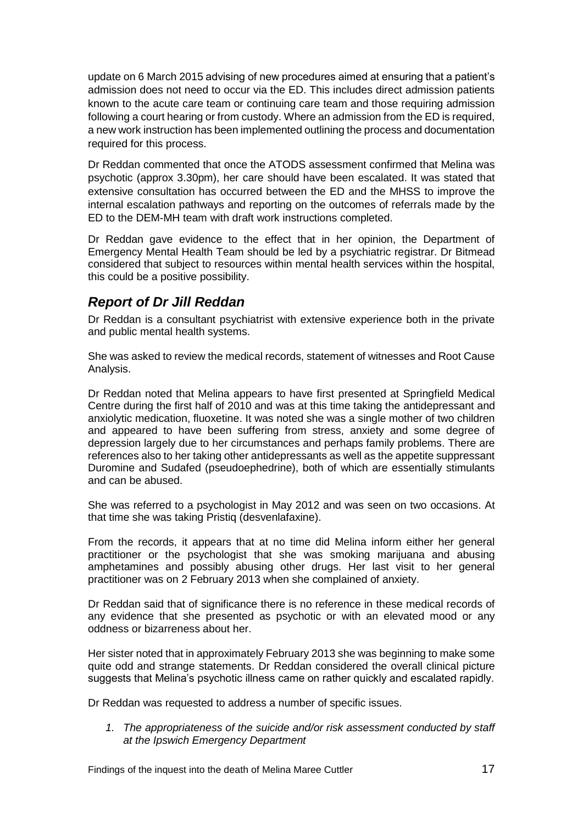update on 6 March 2015 advising of new procedures aimed at ensuring that a patient's admission does not need to occur via the ED. This includes direct admission patients known to the acute care team or continuing care team and those requiring admission following a court hearing or from custody. Where an admission from the ED is required, a new work instruction has been implemented outlining the process and documentation required for this process.

Dr Reddan commented that once the ATODS assessment confirmed that Melina was psychotic (approx 3.30pm), her care should have been escalated. It was stated that extensive consultation has occurred between the ED and the MHSS to improve the internal escalation pathways and reporting on the outcomes of referrals made by the ED to the DEM-MH team with draft work instructions completed.

Dr Reddan gave evidence to the effect that in her opinion, the Department of Emergency Mental Health Team should be led by a psychiatric registrar. Dr Bitmead considered that subject to resources within mental health services within the hospital, this could be a positive possibility.

## <span id="page-18-0"></span>*Report of Dr Jill Reddan*

Dr Reddan is a consultant psychiatrist with extensive experience both in the private and public mental health systems.

She was asked to review the medical records, statement of witnesses and Root Cause Analysis.

Dr Reddan noted that Melina appears to have first presented at Springfield Medical Centre during the first half of 2010 and was at this time taking the antidepressant and anxiolytic medication, fluoxetine. It was noted she was a single mother of two children and appeared to have been suffering from stress, anxiety and some degree of depression largely due to her circumstances and perhaps family problems. There are references also to her taking other antidepressants as well as the appetite suppressant Duromine and Sudafed (pseudoephedrine), both of which are essentially stimulants and can be abused.

She was referred to a psychologist in May 2012 and was seen on two occasions. At that time she was taking Pristiq (desvenlafaxine).

From the records, it appears that at no time did Melina inform either her general practitioner or the psychologist that she was smoking marijuana and abusing amphetamines and possibly abusing other drugs. Her last visit to her general practitioner was on 2 February 2013 when she complained of anxiety.

Dr Reddan said that of significance there is no reference in these medical records of any evidence that she presented as psychotic or with an elevated mood or any oddness or bizarreness about her.

Her sister noted that in approximately February 2013 she was beginning to make some quite odd and strange statements. Dr Reddan considered the overall clinical picture suggests that Melina's psychotic illness came on rather quickly and escalated rapidly.

Dr Reddan was requested to address a number of specific issues.

*1. The appropriateness of the suicide and/or risk assessment conducted by staff at the Ipswich Emergency Department*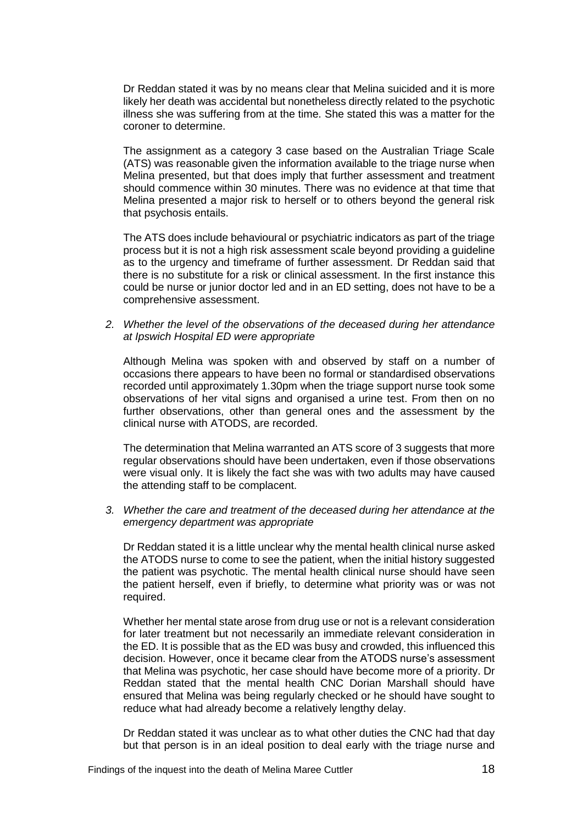Dr Reddan stated it was by no means clear that Melina suicided and it is more likely her death was accidental but nonetheless directly related to the psychotic illness she was suffering from at the time. She stated this was a matter for the coroner to determine.

The assignment as a category 3 case based on the Australian Triage Scale (ATS) was reasonable given the information available to the triage nurse when Melina presented, but that does imply that further assessment and treatment should commence within 30 minutes. There was no evidence at that time that Melina presented a major risk to herself or to others beyond the general risk that psychosis entails.

The ATS does include behavioural or psychiatric indicators as part of the triage process but it is not a high risk assessment scale beyond providing a guideline as to the urgency and timeframe of further assessment. Dr Reddan said that there is no substitute for a risk or clinical assessment. In the first instance this could be nurse or junior doctor led and in an ED setting, does not have to be a comprehensive assessment.

*2. Whether the level of the observations of the deceased during her attendance at Ipswich Hospital ED were appropriate*

Although Melina was spoken with and observed by staff on a number of occasions there appears to have been no formal or standardised observations recorded until approximately 1.30pm when the triage support nurse took some observations of her vital signs and organised a urine test. From then on no further observations, other than general ones and the assessment by the clinical nurse with ATODS, are recorded.

The determination that Melina warranted an ATS score of 3 suggests that more regular observations should have been undertaken, even if those observations were visual only. It is likely the fact she was with two adults may have caused the attending staff to be complacent.

*3. Whether the care and treatment of the deceased during her attendance at the emergency department was appropriate* 

Dr Reddan stated it is a little unclear why the mental health clinical nurse asked the ATODS nurse to come to see the patient, when the initial history suggested the patient was psychotic. The mental health clinical nurse should have seen the patient herself, even if briefly, to determine what priority was or was not required.

Whether her mental state arose from drug use or not is a relevant consideration for later treatment but not necessarily an immediate relevant consideration in the ED. It is possible that as the ED was busy and crowded, this influenced this decision. However, once it became clear from the ATODS nurse's assessment that Melina was psychotic, her case should have become more of a priority. Dr Reddan stated that the mental health CNC Dorian Marshall should have ensured that Melina was being regularly checked or he should have sought to reduce what had already become a relatively lengthy delay.

Dr Reddan stated it was unclear as to what other duties the CNC had that day but that person is in an ideal position to deal early with the triage nurse and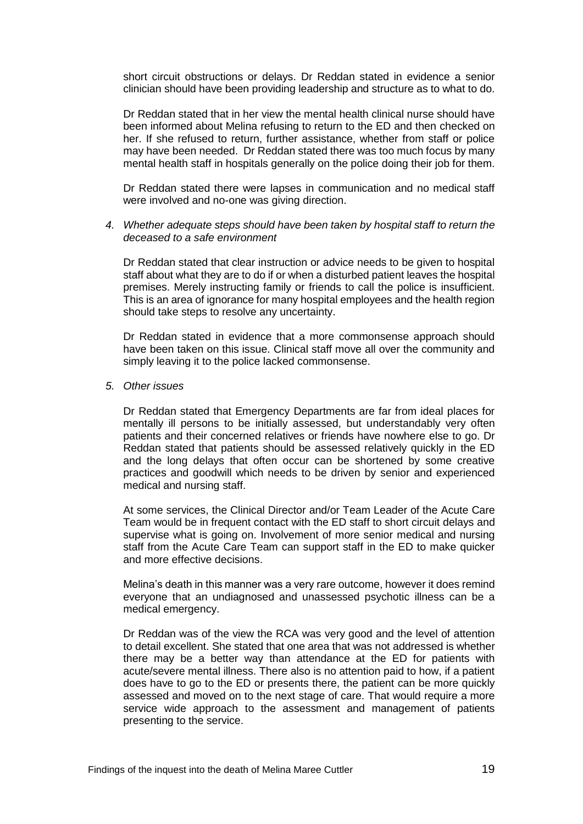short circuit obstructions or delays. Dr Reddan stated in evidence a senior clinician should have been providing leadership and structure as to what to do.

Dr Reddan stated that in her view the mental health clinical nurse should have been informed about Melina refusing to return to the ED and then checked on her. If she refused to return, further assistance, whether from staff or police may have been needed. Dr Reddan stated there was too much focus by many mental health staff in hospitals generally on the police doing their job for them.

Dr Reddan stated there were lapses in communication and no medical staff were involved and no-one was giving direction.

*4. Whether adequate steps should have been taken by hospital staff to return the deceased to a safe environment* 

Dr Reddan stated that clear instruction or advice needs to be given to hospital staff about what they are to do if or when a disturbed patient leaves the hospital premises. Merely instructing family or friends to call the police is insufficient. This is an area of ignorance for many hospital employees and the health region should take steps to resolve any uncertainty.

Dr Reddan stated in evidence that a more commonsense approach should have been taken on this issue. Clinical staff move all over the community and simply leaving it to the police lacked commonsense.

*5. Other issues*

Dr Reddan stated that Emergency Departments are far from ideal places for mentally ill persons to be initially assessed, but understandably very often patients and their concerned relatives or friends have nowhere else to go. Dr Reddan stated that patients should be assessed relatively quickly in the ED and the long delays that often occur can be shortened by some creative practices and goodwill which needs to be driven by senior and experienced medical and nursing staff.

At some services, the Clinical Director and/or Team Leader of the Acute Care Team would be in frequent contact with the ED staff to short circuit delays and supervise what is going on. Involvement of more senior medical and nursing staff from the Acute Care Team can support staff in the ED to make quicker and more effective decisions.

Melina's death in this manner was a very rare outcome, however it does remind everyone that an undiagnosed and unassessed psychotic illness can be a medical emergency.

Dr Reddan was of the view the RCA was very good and the level of attention to detail excellent. She stated that one area that was not addressed is whether there may be a better way than attendance at the ED for patients with acute/severe mental illness. There also is no attention paid to how, if a patient does have to go to the ED or presents there, the patient can be more quickly assessed and moved on to the next stage of care. That would require a more service wide approach to the assessment and management of patients presenting to the service.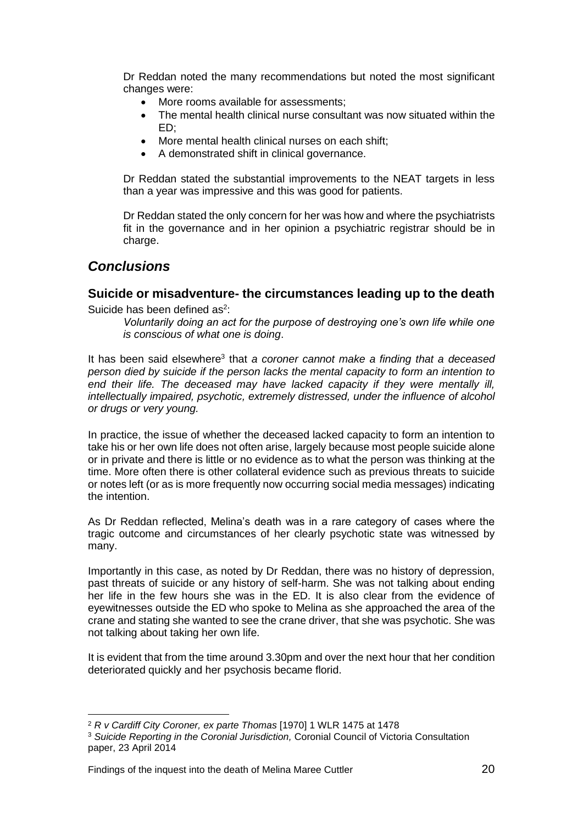Dr Reddan noted the many recommendations but noted the most significant changes were:

- More rooms available for assessments:
- The mental health clinical nurse consultant was now situated within the ED;
- More mental health clinical nurses on each shift;
- A demonstrated shift in clinical governance.

Dr Reddan stated the substantial improvements to the NEAT targets in less than a year was impressive and this was good for patients.

Dr Reddan stated the only concern for her was how and where the psychiatrists fit in the governance and in her opinion a psychiatric registrar should be in charge.

## <span id="page-21-0"></span>*Conclusions*

l

#### <span id="page-21-1"></span>**Suicide or misadventure- the circumstances leading up to the death** Suicide has been defined as $2$ :

*Voluntarily doing an act for the purpose of destroying one's own life while one is conscious of what one is doing*.

It has been said elsewhere<sup>3</sup> that *a coroner cannot make a finding that a deceased person died by suicide if the person lacks the mental capacity to form an intention to*  end their life. The deceased may have lacked capacity if they were mentally ill. *intellectually impaired, psychotic, extremely distressed, under the influence of alcohol or drugs or very young.*

In practice, the issue of whether the deceased lacked capacity to form an intention to take his or her own life does not often arise, largely because most people suicide alone or in private and there is little or no evidence as to what the person was thinking at the time. More often there is other collateral evidence such as previous threats to suicide or notes left (or as is more frequently now occurring social media messages) indicating the intention.

As Dr Reddan reflected, Melina's death was in a rare category of cases where the tragic outcome and circumstances of her clearly psychotic state was witnessed by many.

Importantly in this case, as noted by Dr Reddan, there was no history of depression, past threats of suicide or any history of self-harm. She was not talking about ending her life in the few hours she was in the ED. It is also clear from the evidence of eyewitnesses outside the ED who spoke to Melina as she approached the area of the crane and stating she wanted to see the crane driver, that she was psychotic. She was not talking about taking her own life.

It is evident that from the time around 3.30pm and over the next hour that her condition deteriorated quickly and her psychosis became florid.

Findings of the inquest into the death of Melina Maree Cuttler 20

<sup>2</sup> *R v Cardiff City Coroner, ex parte Thomas* [1970] 1 WLR 1475 at 1478

<sup>3</sup> *Suicide Reporting in the Coronial Jurisdiction,* Coronial Council of Victoria Consultation paper, 23 April 2014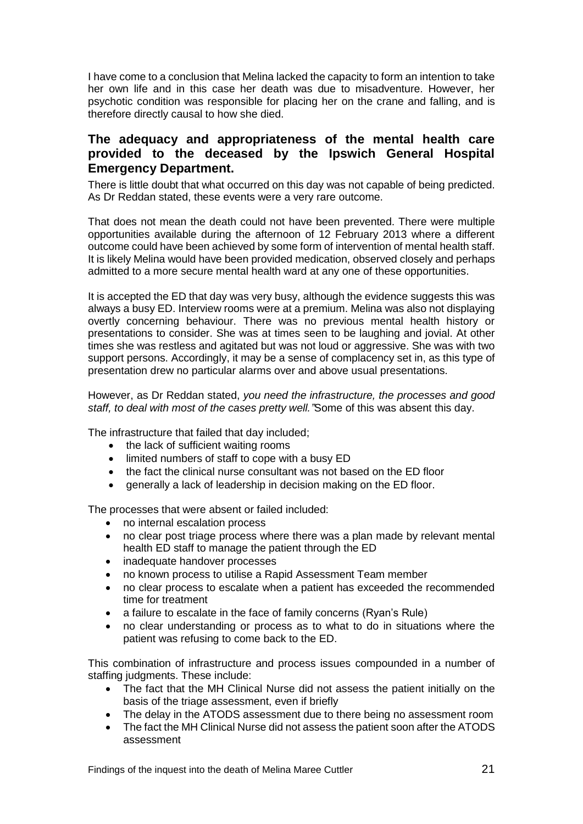I have come to a conclusion that Melina lacked the capacity to form an intention to take her own life and in this case her death was due to misadventure. However, her psychotic condition was responsible for placing her on the crane and falling, and is therefore directly causal to how she died.

#### <span id="page-22-0"></span>**The adequacy and appropriateness of the mental health care provided to the deceased by the Ipswich General Hospital Emergency Department.**

There is little doubt that what occurred on this day was not capable of being predicted. As Dr Reddan stated, these events were a very rare outcome.

That does not mean the death could not have been prevented. There were multiple opportunities available during the afternoon of 12 February 2013 where a different outcome could have been achieved by some form of intervention of mental health staff. It is likely Melina would have been provided medication, observed closely and perhaps admitted to a more secure mental health ward at any one of these opportunities.

It is accepted the ED that day was very busy, although the evidence suggests this was always a busy ED. Interview rooms were at a premium. Melina was also not displaying overtly concerning behaviour. There was no previous mental health history or presentations to consider. She was at times seen to be laughing and jovial. At other times she was restless and agitated but was not loud or aggressive. She was with two support persons. Accordingly, it may be a sense of complacency set in, as this type of presentation drew no particular alarms over and above usual presentations.

However, as Dr Reddan stated, *you need the infrastructure, the processes and good staff, to deal with most of the cases pretty well."*Some of this was absent this day.

The infrastructure that failed that day included;

- the lack of sufficient waiting rooms
- limited numbers of staff to cope with a busy ED
- the fact the clinical nurse consultant was not based on the ED floor
- **•** generally a lack of leadership in decision making on the ED floor.

The processes that were absent or failed included:

- no internal escalation process
- no clear post triage process where there was a plan made by relevant mental health ED staff to manage the patient through the ED
- inadequate handover processes
- no known process to utilise a Rapid Assessment Team member
- no clear process to escalate when a patient has exceeded the recommended time for treatment
- a failure to escalate in the face of family concerns (Ryan's Rule)
- no clear understanding or process as to what to do in situations where the patient was refusing to come back to the ED.

This combination of infrastructure and process issues compounded in a number of staffing judgments. These include:

- The fact that the MH Clinical Nurse did not assess the patient initially on the basis of the triage assessment, even if briefly
- The delay in the ATODS assessment due to there being no assessment room
- The fact the MH Clinical Nurse did not assess the patient soon after the ATODS assessment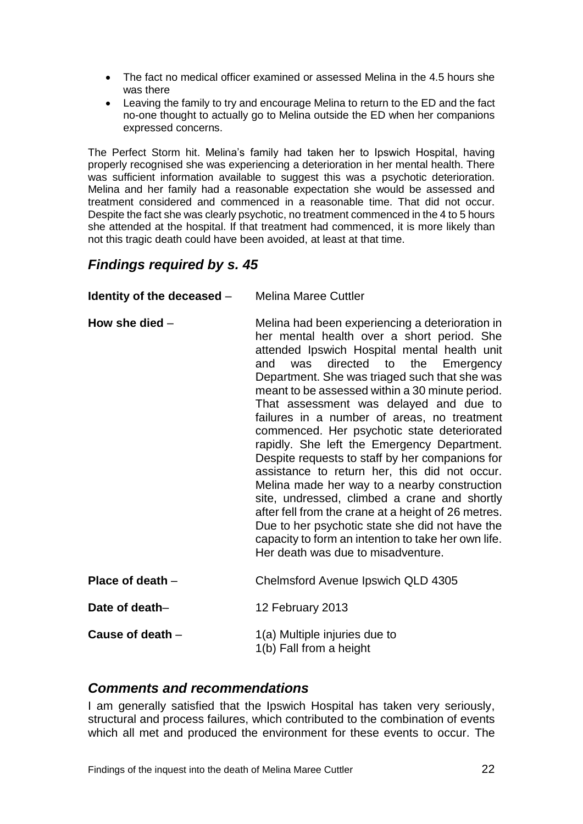- The fact no medical officer examined or assessed Melina in the 4.5 hours she was there
- Leaving the family to try and encourage Melina to return to the ED and the fact no-one thought to actually go to Melina outside the ED when her companions expressed concerns.

The Perfect Storm hit. Melina's family had taken her to Ipswich Hospital, having properly recognised she was experiencing a deterioration in her mental health. There was sufficient information available to suggest this was a psychotic deterioration. Melina and her family had a reasonable expectation she would be assessed and treatment considered and commenced in a reasonable time. That did not occur. Despite the fact she was clearly psychotic, no treatment commenced in the 4 to 5 hours she attended at the hospital. If that treatment had commenced, it is more likely than not this tragic death could have been avoided, at least at that time.

## <span id="page-23-0"></span>*Findings required by s. 45*

| Identity of the deceased $-$ | <b>Melina Maree Cuttler</b>                                                                                                                                                                                                                                                                                                                                                                                                                                                                                                                                                                                                                                                                                                                                                                                                                                                                    |
|------------------------------|------------------------------------------------------------------------------------------------------------------------------------------------------------------------------------------------------------------------------------------------------------------------------------------------------------------------------------------------------------------------------------------------------------------------------------------------------------------------------------------------------------------------------------------------------------------------------------------------------------------------------------------------------------------------------------------------------------------------------------------------------------------------------------------------------------------------------------------------------------------------------------------------|
| How she died $-$             | Melina had been experiencing a deterioration in<br>her mental health over a short period. She<br>attended Ipswich Hospital mental health unit<br>directed to the Emergency<br>and<br>was<br>Department. She was triaged such that she was<br>meant to be assessed within a 30 minute period.<br>That assessment was delayed and due to<br>failures in a number of areas, no treatment<br>commenced. Her psychotic state deteriorated<br>rapidly. She left the Emergency Department.<br>Despite requests to staff by her companions for<br>assistance to return her, this did not occur.<br>Melina made her way to a nearby construction<br>site, undressed, climbed a crane and shortly<br>after fell from the crane at a height of 26 metres.<br>Due to her psychotic state she did not have the<br>capacity to form an intention to take her own life.<br>Her death was due to misadventure. |
| Place of death -             | Chelmsford Avenue Ipswich QLD 4305                                                                                                                                                                                                                                                                                                                                                                                                                                                                                                                                                                                                                                                                                                                                                                                                                                                             |
| Date of death-               | 12 February 2013                                                                                                                                                                                                                                                                                                                                                                                                                                                                                                                                                                                                                                                                                                                                                                                                                                                                               |
| Cause of death -             | 1(a) Multiple injuries due to<br>1(b) Fall from a height                                                                                                                                                                                                                                                                                                                                                                                                                                                                                                                                                                                                                                                                                                                                                                                                                                       |

### <span id="page-23-1"></span>*Comments and recommendations*

I am generally satisfied that the Ipswich Hospital has taken very seriously, structural and process failures, which contributed to the combination of events which all met and produced the environment for these events to occur. The